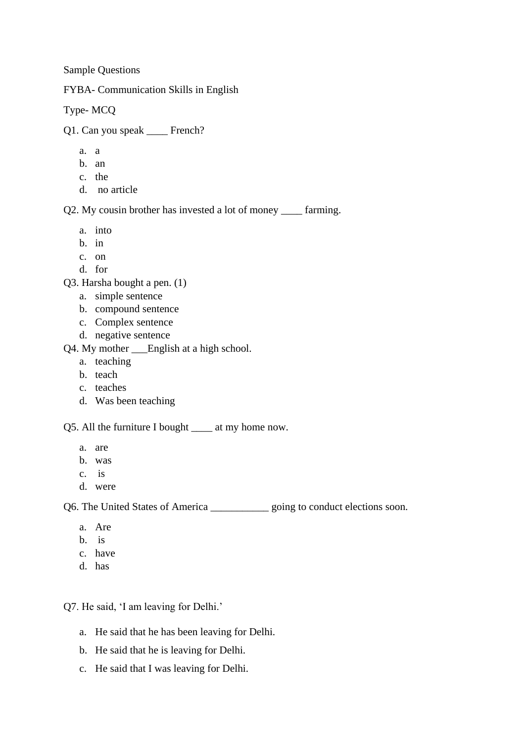Sample Questions

FYBA- Communication Skills in English

Type- MCQ

Q1. Can you speak \_\_\_\_ French?

- a. a
- b. an
- c. the
- d. no article

Q2. My cousin brother has invested a lot of money \_\_\_\_ farming.

- a. into
- b. in
- c. on
- d. for

Q3. Harsha bought a pen. (1)

- a. simple sentence
- b. compound sentence
- c. Complex sentence
- d. negative sentence
- Q4. My mother \_\_\_English at a high school.
	- a. teaching
	- b. teach
	- c. teaches
	- d. Was been teaching

Q5. All the furniture I bought \_\_\_\_ at my home now.

- a. are
- b. was
- c. is
- d. were

Q6. The United States of America \_\_\_\_\_\_\_\_\_\_\_ going to conduct elections soon.

- a. Are
- b. is
- c. have
- d. has

Q7. He said, 'I am leaving for Delhi.'

- a. He said that he has been leaving for Delhi.
- b. He said that he is leaving for Delhi.
- c. He said that I was leaving for Delhi.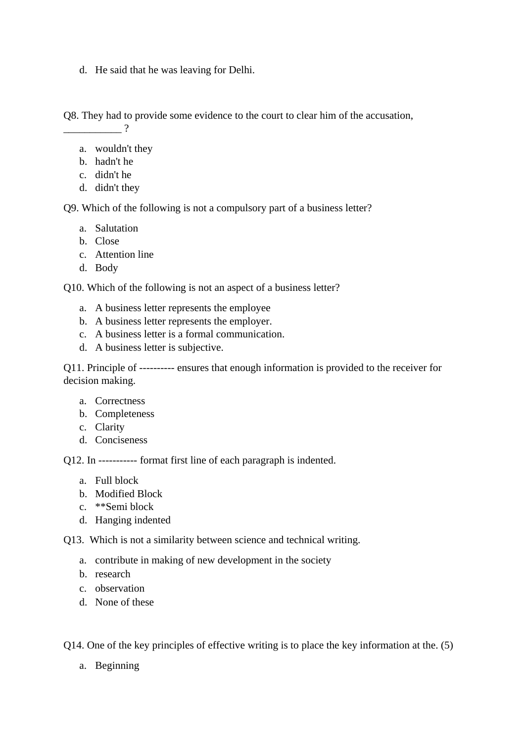d. He said that he was leaving for Delhi.

Q8. They had to provide some evidence to the court to clear him of the accusation, \_\_\_\_\_\_\_\_\_\_\_ ?

- a. wouldn't they
- b. hadn't he
- c. didn't he
- d. didn't they

Q9. Which of the following is not a compulsory part of a business letter?

- a. Salutation
- b. Close
- c. Attention line
- d. Body

Q10. Which of the following is not an aspect of a business letter?

- a. A business letter represents the employee
- b. A business letter represents the employer.
- c. A business letter is a formal communication.
- d. A business letter is subjective.

Q11. Principle of ---------- ensures that enough information is provided to the receiver for decision making.

- a. Correctness
- b. Completeness
- c. Clarity
- d. Conciseness

Q12. In ----------- format first line of each paragraph is indented.

- a. Full block
- b. Modified Block
- c. \*\*Semi block
- d. Hanging indented

Q13. Which is not a similarity between science and technical writing.

- a. contribute in making of new development in the society
- b. research
- c. observation
- d. None of these

Q14. One of the key principles of effective writing is to place the key information at the. (5)

a. Beginning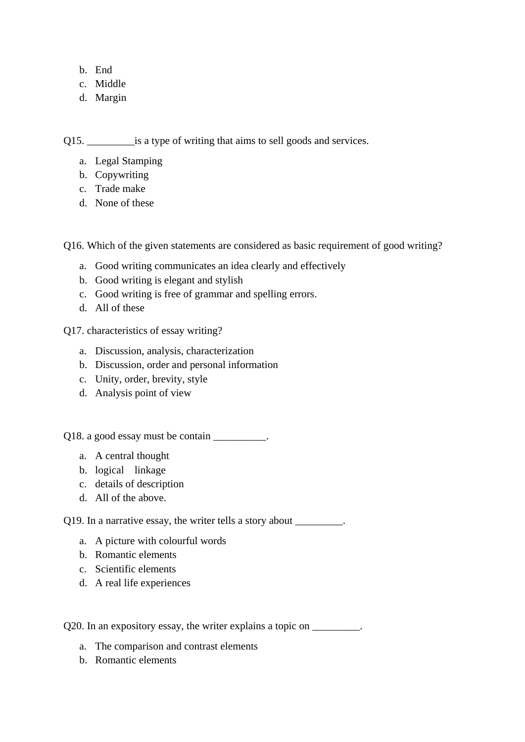- b. End
- c. Middle
- d. Margin

Q15.  $\qquad \qquad$  is a type of writing that aims to sell goods and services.

- a. Legal Stamping
- b. Copywriting
- c. Trade make
- d. None of these

Q16. Which of the given statements are considered as basic requirement of good writing?

- a. Good writing communicates an idea clearly and effectively
- b. Good writing is elegant and stylish
- c. Good writing is free of grammar and spelling errors.
- d. All of these

Q17. characteristics of essay writing?

- a. Discussion, analysis, characterization
- b. Discussion, order and personal information
- c. Unity, order, brevity, style
- d. Analysis point of view

Q18. a good essay must be contain \_\_\_\_\_\_\_\_\_.

- a. A central thought
- b. logical linkage
- c. details of description
- d. All of the above.

Q19. In a narrative essay, the writer tells a story about \_\_\_\_\_\_\_\_\_.

- a. A picture with colourful words
- b. Romantic elements
- c. Scientific elements
- d. A real life experiences

Q20. In an expository essay, the writer explains a topic on \_\_\_\_\_\_\_\_\_.

- a. The comparison and contrast elements
- b. Romantic elements